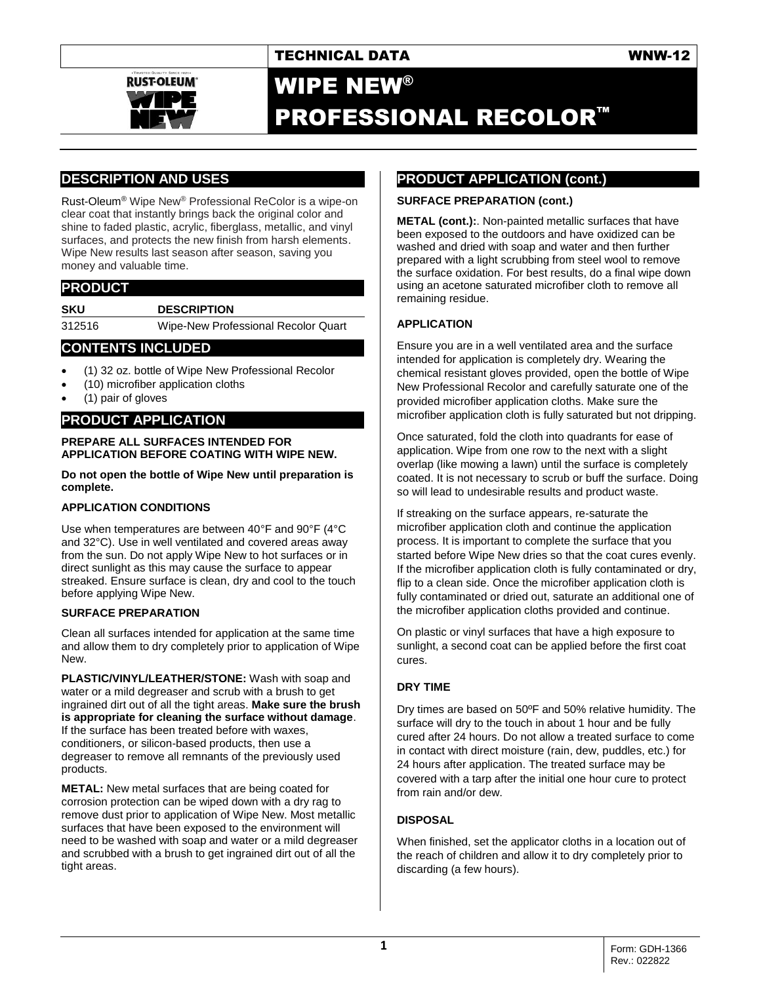

# WIPE NEW® PROFESSIONAL RECOLOR™

# **DESCRIPTION AND USES**

Rust-Oleum® Wipe New® Professional ReColor is a wipe-on clear coat that instantly brings back the original color and shine to faded plastic, acrylic, fiberglass, metallic, and vinyl surfaces, and protects the new finish from harsh elements. Wipe New results last season after season, saving you money and valuable time.

## **PRODUCT**

**SKU DESCRIPTION** 312516 Wipe-New Professional Recolor Quart

### **CONTENTS INCLUDED**

- (1) 32 oz. bottle of Wipe New Professional Recolor
- (10) microfiber application cloths
- (1) pair of gloves

# **PRODUCT APPLICATION**

#### **PREPARE ALL SURFACES INTENDED FOR APPLICATION BEFORE COATING WITH WIPE NEW.**

#### **Do not open the bottle of Wipe New until preparation is complete.**

#### **APPLICATION CONDITIONS**

Use when temperatures are between 40°F and 90°F (4°C and 32°C). Use in well ventilated and covered areas away from the sun. Do not apply Wipe New to hot surfaces or in direct sunlight as this may cause the surface to appear streaked. Ensure surface is clean, dry and cool to the touch before applying Wipe New.

#### **SURFACE PREPARATION**

Clean all surfaces intended for application at the same time and allow them to dry completely prior to application of Wipe New.

**PLASTIC/VINYL/LEATHER/STONE:** Wash with soap and water or a mild degreaser and scrub with a brush to get ingrained dirt out of all the tight areas. **Make sure the brush is appropriate for cleaning the surface without damage**. If the surface has been treated before with waxes, conditioners, or silicon-based products, then use a degreaser to remove all remnants of the previously used products.

**METAL:** New metal surfaces that are being coated for corrosion protection can be wiped down with a dry rag to remove dust prior to application of Wipe New. Most metallic surfaces that have been exposed to the environment will need to be washed with soap and water or a mild degreaser and scrubbed with a brush to get ingrained dirt out of all the tight areas.

# **PRODUCT APPLICATION (cont.)**

#### **SURFACE PREPARATION (cont.)**

**METAL (cont.):**. Non-painted metallic surfaces that have been exposed to the outdoors and have oxidized can be washed and dried with soap and water and then further prepared with a light scrubbing from steel wool to remove the surface oxidation. For best results, do a final wipe down using an acetone saturated microfiber cloth to remove all remaining residue.

#### **APPLICATION**

Ensure you are in a well ventilated area and the surface intended for application is completely dry. Wearing the chemical resistant gloves provided, open the bottle of Wipe New Professional Recolor and carefully saturate one of the provided microfiber application cloths. Make sure the microfiber application cloth is fully saturated but not dripping.

Once saturated, fold the cloth into quadrants for ease of application. Wipe from one row to the next with a slight overlap (like mowing a lawn) until the surface is completely coated. It is not necessary to scrub or buff the surface. Doing so will lead to undesirable results and product waste.

If streaking on the surface appears, re-saturate the microfiber application cloth and continue the application process. It is important to complete the surface that you started before Wipe New dries so that the coat cures evenly. If the microfiber application cloth is fully contaminated or dry, flip to a clean side. Once the microfiber application cloth is fully contaminated or dried out, saturate an additional one of the microfiber application cloths provided and continue.

On plastic or vinyl surfaces that have a high exposure to sunlight, a second coat can be applied before the first coat cures.

#### **DRY TIME**

Dry times are based on 50ºF and 50% relative humidity. The surface will dry to the touch in about 1 hour and be fully cured after 24 hours. Do not allow a treated surface to come in contact with direct moisture (rain, dew, puddles, etc.) for 24 hours after application. The treated surface may be covered with a tarp after the initial one hour cure to protect from rain and/or dew.

### **DISPOSAL**

When finished, set the applicator cloths in a location out of the reach of children and allow it to dry completely prior to discarding (a few hours).